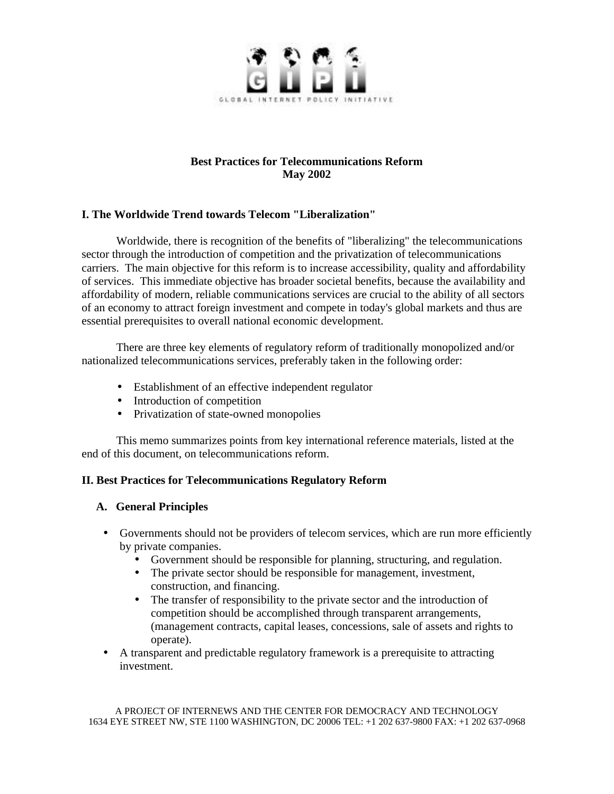

# **Best Practices for Telecommunications Reform May 2002**

## **I. The Worldwide Trend towards Telecom "Liberalization"**

Worldwide, there is recognition of the benefits of "liberalizing" the telecommunications sector through the introduction of competition and the privatization of telecommunications carriers. The main objective for this reform is to increase accessibility, quality and affordability of services. This immediate objective has broader societal benefits, because the availability and affordability of modern, reliable communications services are crucial to the ability of all sectors of an economy to attract foreign investment and compete in today's global markets and thus are essential prerequisites to overall national economic development.

There are three key elements of regulatory reform of traditionally monopolized and/or nationalized telecommunications services, preferably taken in the following order:

- Establishment of an effective independent regulator
- Introduction of competition
- Privatization of state-owned monopolies

This memo summarizes points from key international reference materials, listed at the end of this document, on telecommunications reform.

## **II. Best Practices for Telecommunications Regulatory Reform**

## **A. General Principles**

- Governments should not be providers of telecom services, which are run more efficiently by private companies.
	- Government should be responsible for planning, structuring, and regulation.
	- The private sector should be responsible for management, investment, construction, and financing.
	- The transfer of responsibility to the private sector and the introduction of competition should be accomplished through transparent arrangements, (management contracts, capital leases, concessions, sale of assets and rights to operate).
- A transparent and predictable regulatory framework is a prerequisite to attracting investment.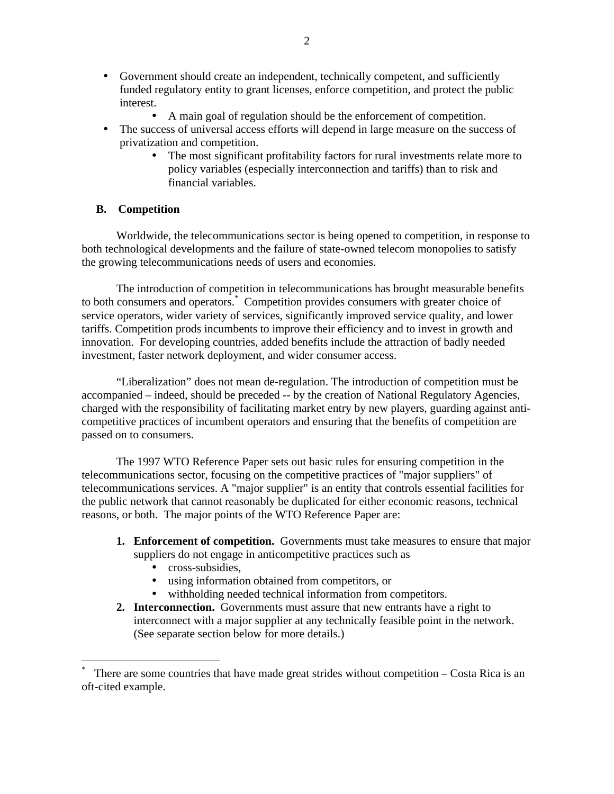- Government should create an independent, technically competent, and sufficiently funded regulatory entity to grant licenses, enforce competition, and protect the public interest.
	- A main goal of regulation should be the enforcement of competition.
- The success of universal access efforts will depend in large measure on the success of privatization and competition.
	- The most significant profitability factors for rural investments relate more to policy variables (especially interconnection and tariffs) than to risk and financial variables.

### **B. Competition**

Worldwide, the telecommunications sector is being opened to competition, in response to both technological developments and the failure of state-owned telecom monopolies to satisfy the growing telecommunications needs of users and economies.

The introduction of competition in telecommunications has brought measurable benefits to both consumers and operators.\* Competition provides consumers with greater choice of service operators, wider variety of services, significantly improved service quality, and lower tariffs. Competition prods incumbents to improve their efficiency and to invest in growth and innovation. For developing countries, added benefits include the attraction of badly needed investment, faster network deployment, and wider consumer access.

"Liberalization" does not mean de-regulation. The introduction of competition must be accompanied – indeed, should be preceded -- by the creation of National Regulatory Agencies, charged with the responsibility of facilitating market entry by new players, guarding against anticompetitive practices of incumbent operators and ensuring that the benefits of competition are passed on to consumers.

The 1997 WTO Reference Paper sets out basic rules for ensuring competition in the telecommunications sector, focusing on the competitive practices of "major suppliers" of telecommunications services. A "major supplier" is an entity that controls essential facilities for the public network that cannot reasonably be duplicated for either economic reasons, technical reasons, or both. The major points of the WTO Reference Paper are:

- **1. Enforcement of competition.** Governments must take measures to ensure that major suppliers do not engage in anticompetitive practices such as
	- cross-subsidies,

 $\overline{a}$ 

- using information obtained from competitors, or
- withholding needed technical information from competitors.
- **2. Interconnection.** Governments must assure that new entrants have a right to interconnect with a major supplier at any technically feasible point in the network. (See separate section below for more details.)

<sup>\*</sup> There are some countries that have made great strides without competition – Costa Rica is an oft-cited example.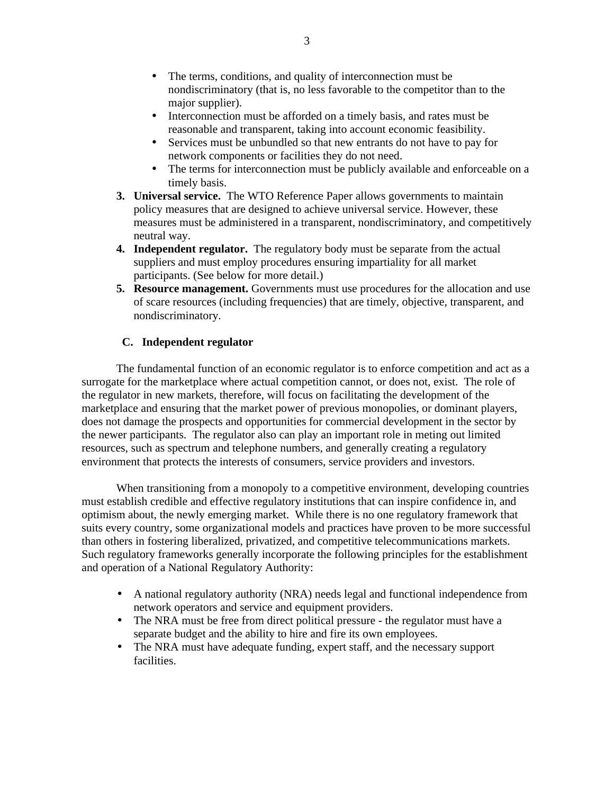- The terms, conditions, and quality of interconnection must be nondiscriminatory (that is, no less favorable to the competitor than to the major supplier).
- Interconnection must be afforded on a timely basis, and rates must be reasonable and transparent, taking into account economic feasibility.
- Services must be unbundled so that new entrants do not have to pay for network components or facilities they do not need.
- The terms for interconnection must be publicly available and enforceable on a timely basis.
- **3. Universal service.** The WTO Reference Paper allows governments to maintain policy measures that are designed to achieve universal service. However, these measures must be administered in a transparent, nondiscriminatory, and competitively neutral way.
- **4. Independent regulator.** The regulatory body must be separate from the actual suppliers and must employ procedures ensuring impartiality for all market participants. (See below for more detail.)
- **5. Resource management.** Governments must use procedures for the allocation and use of scare resources (including frequencies) that are timely, objective, transparent, and nondiscriminatory.

## **C. Independent regulator**

The fundamental function of an economic regulator is to enforce competition and act as a surrogate for the marketplace where actual competition cannot, or does not, exist. The role of the regulator in new markets, therefore, will focus on facilitating the development of the marketplace and ensuring that the market power of previous monopolies, or dominant players, does not damage the prospects and opportunities for commercial development in the sector by the newer participants. The regulator also can play an important role in meting out limited resources, such as spectrum and telephone numbers, and generally creating a regulatory environment that protects the interests of consumers, service providers and investors.

When transitioning from a monopoly to a competitive environment, developing countries must establish credible and effective regulatory institutions that can inspire confidence in, and optimism about, the newly emerging market. While there is no one regulatory framework that suits every country, some organizational models and practices have proven to be more successful than others in fostering liberalized, privatized, and competitive telecommunications markets. Such regulatory frameworks generally incorporate the following principles for the establishment and operation of a National Regulatory Authority:

- A national regulatory authority (NRA) needs legal and functional independence from network operators and service and equipment providers.
- The NRA must be free from direct political pressure the regulator must have a separate budget and the ability to hire and fire its own employees.
- The NRA must have adequate funding, expert staff, and the necessary support facilities.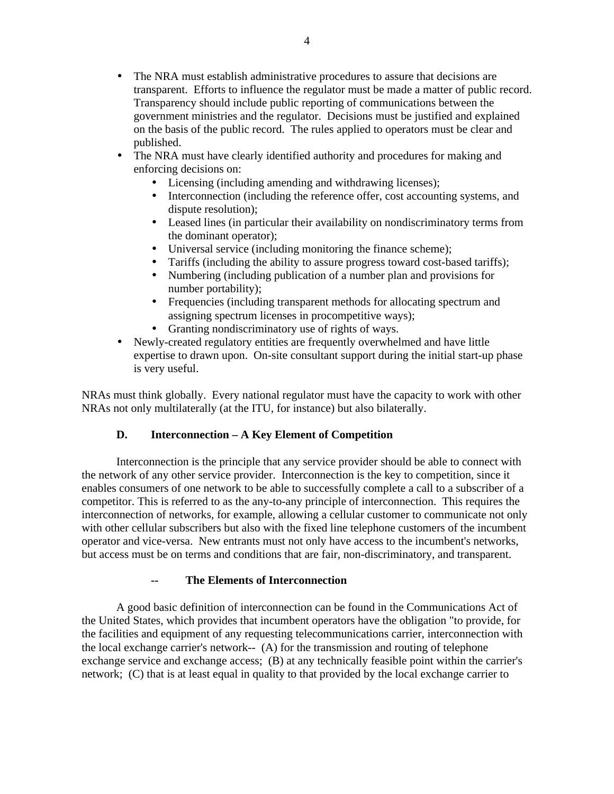- The NRA must establish administrative procedures to assure that decisions are transparent. Efforts to influence the regulator must be made a matter of public record. Transparency should include public reporting of communications between the government ministries and the regulator. Decisions must be justified and explained on the basis of the public record. The rules applied to operators must be clear and published.
- The NRA must have clearly identified authority and procedures for making and enforcing decisions on:
	- Licensing (including amending and withdrawing licenses);
	- Interconnection (including the reference offer, cost accounting systems, and dispute resolution);
	- Leased lines (in particular their availability on nondiscriminatory terms from the dominant operator);
	- Universal service (including monitoring the finance scheme);
	- Tariffs (including the ability to assure progress toward cost-based tariffs);
	- Numbering (including publication of a number plan and provisions for number portability);
	- Frequencies (including transparent methods for allocating spectrum and assigning spectrum licenses in procompetitive ways);
	- Granting nondiscriminatory use of rights of ways.
- Newly-created regulatory entities are frequently overwhelmed and have little expertise to drawn upon. On-site consultant support during the initial start-up phase is very useful.

NRAs must think globally. Every national regulator must have the capacity to work with other NRAs not only multilaterally (at the ITU, for instance) but also bilaterally.

## **D. Interconnection – A Key Element of Competition**

Interconnection is the principle that any service provider should be able to connect with the network of any other service provider. Interconnection is the key to competition, since it enables consumers of one network to be able to successfully complete a call to a subscriber of a competitor. This is referred to as the any-to-any principle of interconnection. This requires the interconnection of networks, for example, allowing a cellular customer to communicate not only with other cellular subscribers but also with the fixed line telephone customers of the incumbent operator and vice-versa. New entrants must not only have access to the incumbent's networks, but access must be on terms and conditions that are fair, non-discriminatory, and transparent.

## **The Elements of Interconnection**

A good basic definition of interconnection can be found in the Communications Act of the United States, which provides that incumbent operators have the obligation "to provide, for the facilities and equipment of any requesting telecommunications carrier, interconnection with the local exchange carrier's network-- (A) for the transmission and routing of telephone exchange service and exchange access; (B) at any technically feasible point within the carrier's network; (C) that is at least equal in quality to that provided by the local exchange carrier to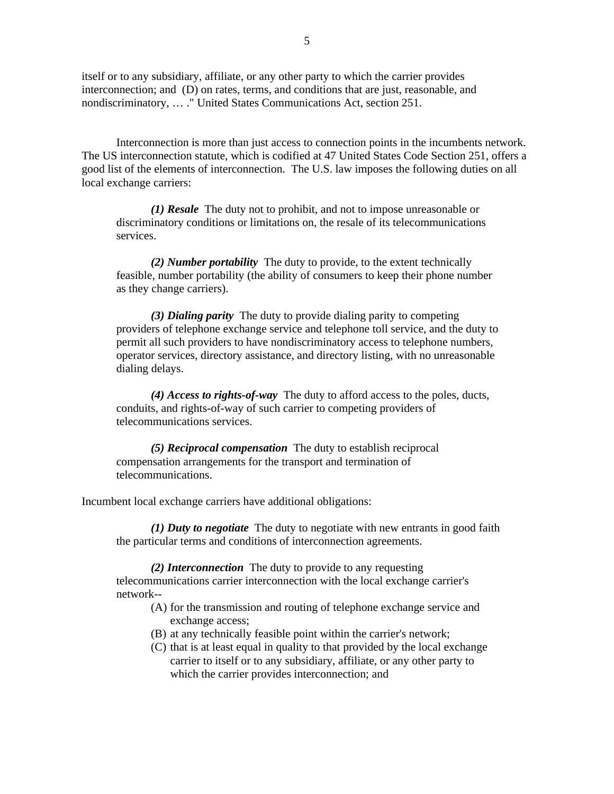itself or to any subsidiary, affiliate, or any other party to which the carrier provides interconnection; and (D) on rates, terms, and conditions that are just, reasonable, and nondiscriminatory, … ." United States Communications Act, section 251.

Interconnection is more than just access to connection points in the incumbents network. The US interconnection statute, which is codified at 47 United States Code Section 251, offers a good list of the elements of interconnection. The U.S. law imposes the following duties on all local exchange carriers:

*(1) Resale* The duty not to prohibit, and not to impose unreasonable or discriminatory conditions or limitations on, the resale of its telecommunications services.

*(2) Number portability* The duty to provide, to the extent technically feasible, number portability (the ability of consumers to keep their phone number as they change carriers).

*(3) Dialing parity* The duty to provide dialing parity to competing providers of telephone exchange service and telephone toll service, and the duty to permit all such providers to have nondiscriminatory access to telephone numbers, operator services, directory assistance, and directory listing, with no unreasonable dialing delays.

*(4) Access to rights-of-way* The duty to afford access to the poles, ducts, conduits, and rights-of-way of such carrier to competing providers of telecommunications services.

*(5) Reciprocal compensation* The duty to establish reciprocal compensation arrangements for the transport and termination of telecommunications.

Incumbent local exchange carriers have additional obligations:

*(1) Duty to negotiate* The duty to negotiate with new entrants in good faith the particular terms and conditions of interconnection agreements.

*(2) Interconnection* The duty to provide to any requesting telecommunications carrier interconnection with the local exchange carrier's network--

- (A) for the transmission and routing of telephone exchange service and exchange access;
- (B) at any technically feasible point within the carrier's network;
- (C) that is at least equal in quality to that provided by the local exchange carrier to itself or to any subsidiary, affiliate, or any other party to which the carrier provides interconnection; and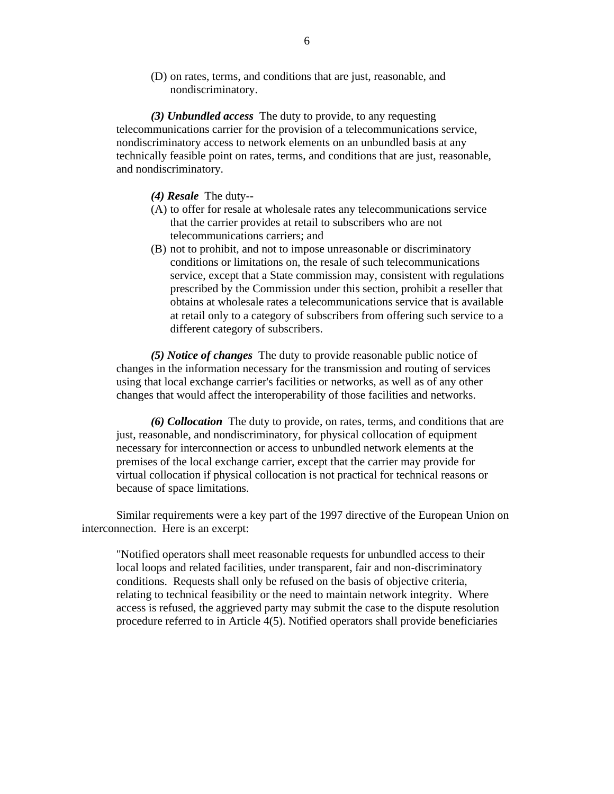(D) on rates, terms, and conditions that are just, reasonable, and nondiscriminatory.

*(3) Unbundled access* The duty to provide, to any requesting telecommunications carrier for the provision of a telecommunications service, nondiscriminatory access to network elements on an unbundled basis at any technically feasible point on rates, terms, and conditions that are just, reasonable, and nondiscriminatory.

*(4) Resale* The duty--

- (A) to offer for resale at wholesale rates any telecommunications service that the carrier provides at retail to subscribers who are not telecommunications carriers; and
- (B) not to prohibit, and not to impose unreasonable or discriminatory conditions or limitations on, the resale of such telecommunications service, except that a State commission may, consistent with regulations prescribed by the Commission under this section, prohibit a reseller that obtains at wholesale rates a telecommunications service that is available at retail only to a category of subscribers from offering such service to a different category of subscribers.

*(5) Notice of changes* The duty to provide reasonable public notice of changes in the information necessary for the transmission and routing of services using that local exchange carrier's facilities or networks, as well as of any other changes that would affect the interoperability of those facilities and networks.

*(6) Collocation* The duty to provide, on rates, terms, and conditions that are just, reasonable, and nondiscriminatory, for physical collocation of equipment necessary for interconnection or access to unbundled network elements at the premises of the local exchange carrier, except that the carrier may provide for virtual collocation if physical collocation is not practical for technical reasons or because of space limitations.

Similar requirements were a key part of the 1997 directive of the European Union on interconnection. Here is an excerpt:

"Notified operators shall meet reasonable requests for unbundled access to their local loops and related facilities, under transparent, fair and non-discriminatory conditions. Requests shall only be refused on the basis of objective criteria, relating to technical feasibility or the need to maintain network integrity. Where access is refused, the aggrieved party may submit the case to the dispute resolution procedure referred to in Article 4(5). Notified operators shall provide beneficiaries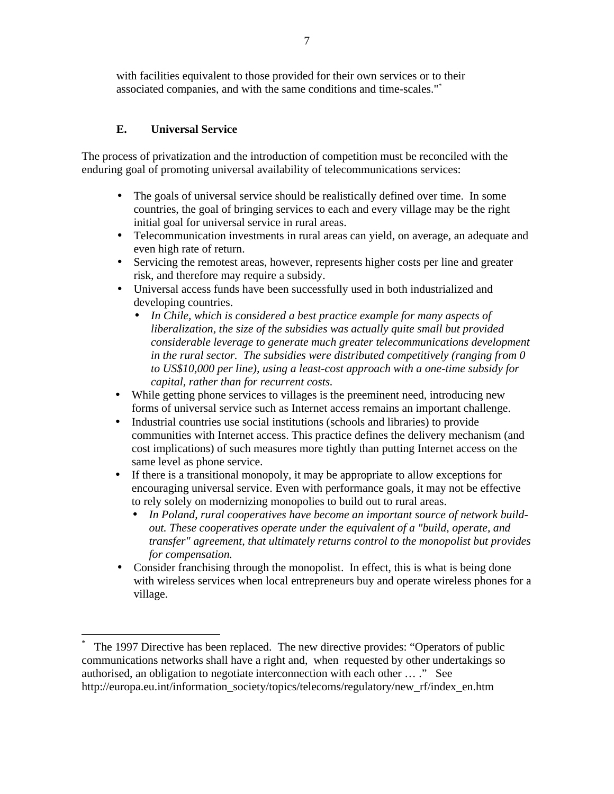with facilities equivalent to those provided for their own services or to their associated companies, and with the same conditions and time-scales."\*

## **E. Universal Service**

 $\overline{a}$ 

The process of privatization and the introduction of competition must be reconciled with the enduring goal of promoting universal availability of telecommunications services:

- The goals of universal service should be realistically defined over time. In some countries, the goal of bringing services to each and every village may be the right initial goal for universal service in rural areas.
- Telecommunication investments in rural areas can yield, on average, an adequate and even high rate of return.
- Servicing the remotest areas, however, represents higher costs per line and greater risk, and therefore may require a subsidy.
- Universal access funds have been successfully used in both industrialized and developing countries.
	- *In Chile, which is considered a best practice example for many aspects of liberalization, the size of the subsidies was actually quite small but provided considerable leverage to generate much greater telecommunications development in the rural sector. The subsidies were distributed competitively (ranging from 0 to US\$10,000 per line), using a least-cost approach with a one-time subsidy for capital, rather than for recurrent costs.*
- While getting phone services to villages is the preeminent need, introducing new forms of universal service such as Internet access remains an important challenge.
- Industrial countries use social institutions (schools and libraries) to provide communities with Internet access. This practice defines the delivery mechanism (and cost implications) of such measures more tightly than putting Internet access on the same level as phone service.
- If there is a transitional monopoly, it may be appropriate to allow exceptions for encouraging universal service. Even with performance goals, it may not be effective to rely solely on modernizing monopolies to build out to rural areas.
	- *In Poland, rural cooperatives have become an important source of network buildout. These cooperatives operate under the equivalent of a "build, operate, and transfer" agreement, that ultimately returns control to the monopolist but provides for compensation.*
- Consider franchising through the monopolist. In effect, this is what is being done with wireless services when local entrepreneurs buy and operate wireless phones for a village.

<sup>\*</sup> The 1997 Directive has been replaced. The new directive provides: "Operators of public communications networks shall have a right and, when requested by other undertakings so authorised, an obligation to negotiate interconnection with each other … ." See http://europa.eu.int/information\_society/topics/telecoms/regulatory/new\_rf/index\_en.htm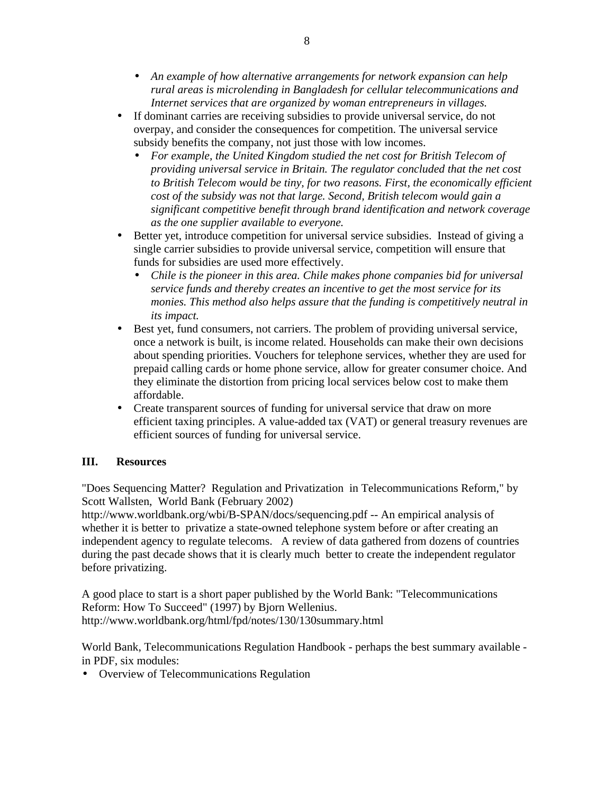- *An example of how alternative arrangements for network expansion can help rural areas is microlending in Bangladesh for cellular telecommunications and Internet services that are organized by woman entrepreneurs in villages.*
- If dominant carries are receiving subsidies to provide universal service, do not overpay, and consider the consequences for competition. The universal service subsidy benefits the company, not just those with low incomes.
	- *For example, the United Kingdom studied the net cost for British Telecom of providing universal service in Britain. The regulator concluded that the net cost to British Telecom would be tiny, for two reasons. First, the economically efficient cost of the subsidy was not that large. Second, British telecom would gain a significant competitive benefit through brand identification and network coverage as the one supplier available to everyone.*
- Better yet, introduce competition for universal service subsidies. Instead of giving a single carrier subsidies to provide universal service, competition will ensure that funds for subsidies are used more effectively.
	- *Chile is the pioneer in this area. Chile makes phone companies bid for universal service funds and thereby creates an incentive to get the most service for its monies. This method also helps assure that the funding is competitively neutral in its impact.*
- Best yet, fund consumers, not carriers. The problem of providing universal service, once a network is built, is income related. Households can make their own decisions about spending priorities. Vouchers for telephone services, whether they are used for prepaid calling cards or home phone service, allow for greater consumer choice. And they eliminate the distortion from pricing local services below cost to make them affordable.
- Create transparent sources of funding for universal service that draw on more efficient taxing principles. A value-added tax (VAT) or general treasury revenues are efficient sources of funding for universal service.

## **III. Resources**

"Does Sequencing Matter? Regulation and Privatization in Telecommunications Reform," by Scott Wallsten, World Bank (February 2002)

http://www.worldbank.org/wbi/B-SPAN/docs/sequencing.pdf -- An empirical analysis of whether it is better to privatize a state-owned telephone system before or after creating an independent agency to regulate telecoms. A review of data gathered from dozens of countries during the past decade shows that it is clearly much better to create the independent regulator before privatizing.

A good place to start is a short paper published by the World Bank: "Telecommunications Reform: How To Succeed" (1997) by Bjorn Wellenius. http://www.worldbank.org/html/fpd/notes/130/130summary.html

World Bank, Telecommunications Regulation Handbook - perhaps the best summary available in PDF, six modules:

• Overview of Telecommunications Regulation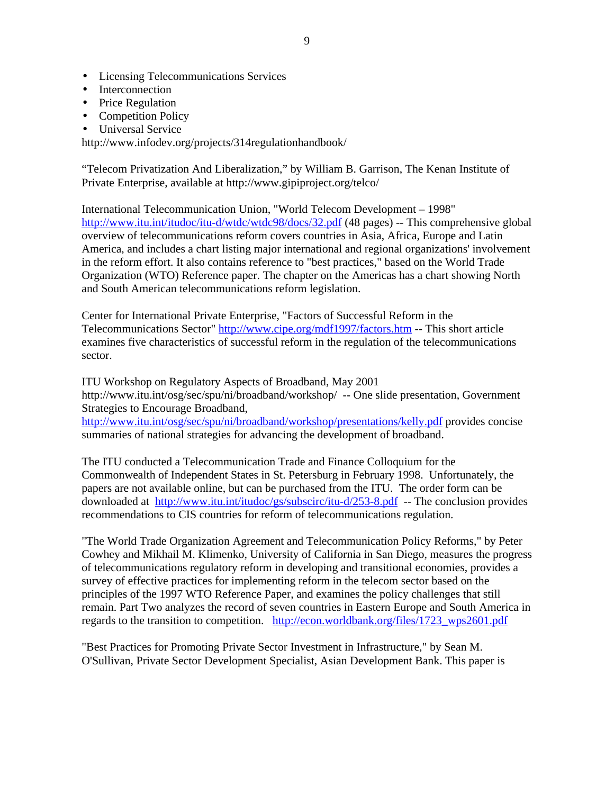- Licensing Telecommunications Services
- **Interconnection**
- Price Regulation
- Competition Policy
- Universal Service

http://www.infodev.org/projects/314regulationhandbook/

"Telecom Privatization And Liberalization," by William B. Garrison, The Kenan Institute of Private Enterprise, available at http://www.gipiproject.org/telco/

International Telecommunication Union, "World Telecom Development – 1998" http://www.itu.int/itudoc/itu-d/wtdc/wtdc98/docs/32.pdf (48 pages) -- This comprehensive global overview of telecommunications reform covers countries in Asia, Africa, Europe and Latin America, and includes a chart listing major international and regional organizations' involvement in the reform effort. It also contains reference to "best practices," based on the World Trade Organization (WTO) Reference paper. The chapter on the Americas has a chart showing North and South American telecommunications reform legislation.

Center for International Private Enterprise, "Factors of Successful Reform in the Telecommunications Sector" http://www.cipe.org/mdf1997/factors.htm -- This short article examines five characteristics of successful reform in the regulation of the telecommunications sector.

ITU Workshop on Regulatory Aspects of Broadband, May 2001 http://www.itu.int/osg/sec/spu/ni/broadband/workshop/ -- One slide presentation, Government Strategies to Encourage Broadband,

http://www.itu.int/osg/sec/spu/ni/broadband/workshop/presentations/kelly.pdf provides concise summaries of national strategies for advancing the development of broadband.

The ITU conducted a Telecommunication Trade and Finance Colloquium for the Commonwealth of Independent States in St. Petersburg in February 1998. Unfortunately, the papers are not available online, but can be purchased from the ITU. The order form can be downloaded at http://www.itu.int/itudoc/gs/subscirc/itu-d/253-8.pdf -- The conclusion provides recommendations to CIS countries for reform of telecommunications regulation.

"The World Trade Organization Agreement and Telecommunication Policy Reforms," by Peter Cowhey and Mikhail M. Klimenko, University of California in San Diego, measures the progress of telecommunications regulatory reform in developing and transitional economies, provides a survey of effective practices for implementing reform in the telecom sector based on the principles of the 1997 WTO Reference Paper, and examines the policy challenges that still remain. Part Two analyzes the record of seven countries in Eastern Europe and South America in regards to the transition to competition. http://econ.worldbank.org/files/1723\_wps2601.pdf

"Best Practices for Promoting Private Sector Investment in Infrastructure," by Sean M. O'Sullivan, Private Sector Development Specialist, Asian Development Bank. This paper is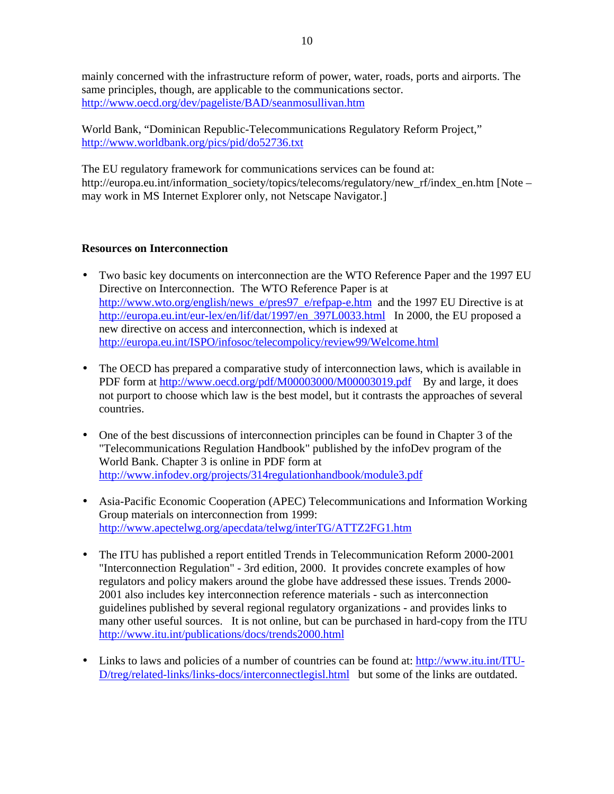mainly concerned with the infrastructure reform of power, water, roads, ports and airports. The same principles, though, are applicable to the communications sector. http://www.oecd.org/dev/pageliste/BAD/seanmosullivan.htm

World Bank, "Dominican Republic-Telecommunications Regulatory Reform Project," http://www.worldbank.org/pics/pid/do52736.txt

The EU regulatory framework for communications services can be found at: http://europa.eu.int/information\_society/topics/telecoms/regulatory/new\_rf/index\_en.htm [Note – may work in MS Internet Explorer only, not Netscape Navigator.]

### **Resources on Interconnection**

- Two basic key documents on interconnection are the WTO Reference Paper and the 1997 EU Directive on Interconnection. The WTO Reference Paper is at http://www.wto.org/english/news\_e/pres97\_e/refpap-e.htm and the 1997 EU Directive is at http://europa.eu.int/eur-lex/en/lif/dat/1997/en\_397L0033.html In 2000, the EU proposed a new directive on access and interconnection, which is indexed at http://europa.eu.int/ISPO/infosoc/telecompolicy/review99/Welcome.html
- The OECD has prepared a comparative study of interconnection laws, which is available in PDF form at http://www.oecd.org/pdf/M00003000/M00003019.pdf By and large, it does not purport to choose which law is the best model, but it contrasts the approaches of several countries.
- One of the best discussions of interconnection principles can be found in Chapter 3 of the "Telecommunications Regulation Handbook" published by the infoDev program of the World Bank. Chapter 3 is online in PDF form at http://www.infodev.org/projects/314regulationhandbook/module3.pdf
- Asia-Pacific Economic Cooperation (APEC) Telecommunications and Information Working Group materials on interconnection from 1999: http://www.apectelwg.org/apecdata/telwg/interTG/ATTZ2FG1.htm
- The ITU has published a report entitled Trends in Telecommunication Reform 2000-2001 "Interconnection Regulation" - 3rd edition, 2000. It provides concrete examples of how regulators and policy makers around the globe have addressed these issues. Trends 2000- 2001 also includes key interconnection reference materials - such as interconnection guidelines published by several regional regulatory organizations - and provides links to many other useful sources. It is not online, but can be purchased in hard-copy from the ITU http://www.itu.int/publications/docs/trends2000.html
- Links to laws and policies of a number of countries can be found at: http://www.itu.int/ITU-D/treg/related-links/links-docs/interconnectlegisl.html but some of the links are outdated.